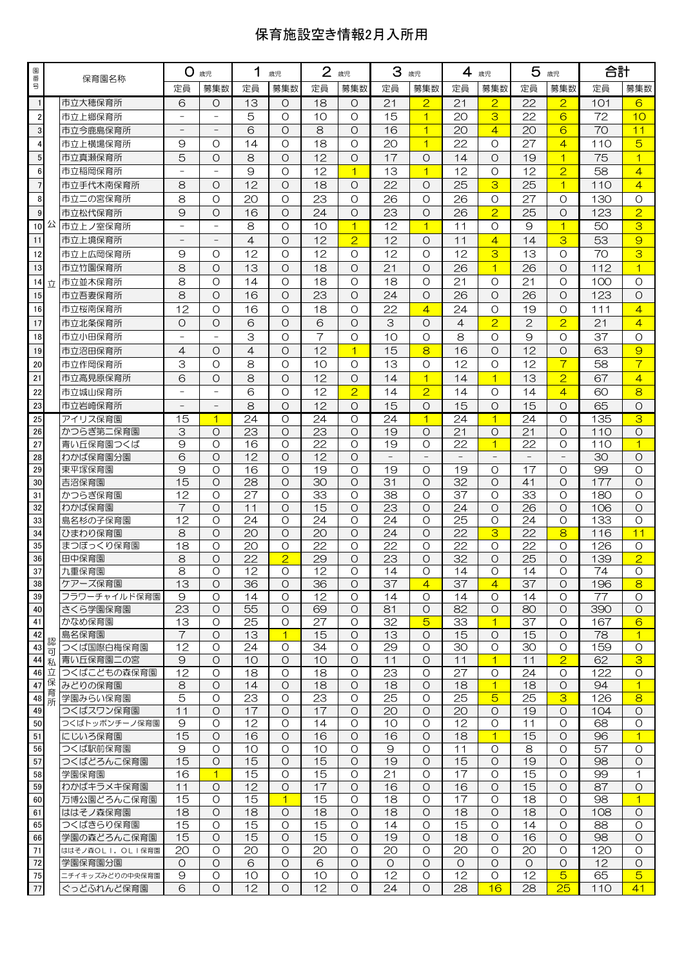## 保育施設空き情報2月入所用

| 園番                      |      | 保育園名称                    | O<br>歳児           |                    | 1<br>歳児         |                    | 2 歳児     |                     | 3<br>歳児         |                     | 4<br>歳児         |                         | 5<br>歳児         |                           | 合計              |                    |
|-------------------------|------|--------------------------|-------------------|--------------------|-----------------|--------------------|----------|---------------------|-----------------|---------------------|-----------------|-------------------------|-----------------|---------------------------|-----------------|--------------------|
| 릉                       |      |                          | 定員                | 募集数                | 定員              | 募集数                | 定員       | 募集数                 | 定員              | 募集数                 | 定員              | 募集数                     | 定員              | 募集数                       | 定員              | 募集数                |
| $\mathbf{1}$            |      | 市立大穂保育所                  | 6                 | $\circ$            | 13              | $\circ$            | 18       | $\circ$             | 21              | $\overline{2}$      | 21              | $\overline{2}$          | 22              | $\overline{2}$            | 101             | 6                  |
| $\overline{\mathbf{c}}$ |      | 市立上郷保育所                  |                   |                    | 5               | $\circ$            | 10       | O                   | 15              | $\overline{1}$      | 20              | 3                       | 22              | 6                         | 72              | 10                 |
| $\overline{3}$          |      | 市立今鹿島保育所                 |                   |                    | 6               | $\circ$            | 8        | $\Omega$            | 16              | $\overline{1}$      | 20              | $\overline{4}$          | 20              | 6                         | 70              | 11                 |
| $\overline{\mathbf{4}}$ |      | 市立上横場保育所                 | 9                 | O                  | 14              | O                  | 18       | $\Omega$            | 20              | $\overline{1}$      | 22              | O                       | 27              | $\overline{4}$            | 110             | 5                  |
| 5                       |      | 市立真瀬保育所                  | 5                 | $\circ$            | 8               | $\circ$            | 12       | O                   | 17              | O                   | 14              | O                       | 19              | $\overline{1}$            | 75              | $\mathbf{1}$       |
| $\boldsymbol{6}$        |      | 市立稲岡保育所                  |                   |                    | 9               | O                  | 12       | $\mathbf{1}$        | 13              | $\overline{1}$      | 12              | O                       | 12              | $\overline{2}$            | 58              | $\overline{4}$     |
| $\overline{7}$          |      | 市立手代木南保育所                | 8                 | $\circ$            | 12              | $\circ$            | 18       | $\circ$             | 22              | O                   | 25              | 3                       | 25              | $\overline{1}$            | 110             | $\overline{4}$     |
| 8                       |      | 市立二の宮保育所                 | 8                 | O                  | 20              | O                  | 23       | $\Omega$            | 26              | O                   | 26              | O                       | 27              | $\circ$                   | 130             | O                  |
| 9                       |      | 市立松代保育所                  | 9                 | O                  | 16              | $\circ$            | 24       | O                   | 23              | $\circ$             | 26              | $\overline{2}$          | 25              | $\circ$                   | 123             | $\overline{2}$     |
|                         | 10 公 | 市立上ノ室保育所                 | $\overline{a}$    |                    | 8               | O                  | 10       | $\mathbf{1}$        | 12              | $\overline{1}$      | 11              | O                       | 9               | $\overline{1}$            | 50              | 3                  |
| 11                      |      | 市立上境保育所                  |                   |                    | $\overline{4}$  | $\circ$            | 12       | $\overline{2}$      | 12              | O                   | 11              | 4                       | 14              | 3                         | 53              | 9                  |
| 12                      |      | 市立上広岡保育所                 | 9                 | O                  | 12              | $\circ$            | 12       | O                   | 12              | O                   | 12              | 3                       | 13              | $\circ$                   | 70              | 3                  |
| 13                      |      | 市立竹園保育所                  | 8                 | $\circ$            | 13              | $\circ$            | 18       | $\Omega$            | 21              | $\Omega$            | 26              | $\overline{1}$          | 26              | $\circ$                   | 112             | $\overline{1}$     |
| 14                      | 立    | 市立並木保育所                  | 8                 | O                  | 14              | $\circ$            | 18       | O                   | 18              | O                   | 21              | O                       | 21              | O                         | 100             | O                  |
| 15                      |      | 市立吾妻保育所                  | 8                 | $\circ$            | 16              | $\circ$            | 23       | $\Omega$            | 24              | $\Omega$            | 26              | $\Omega$                | 26              | $\circ$                   | 123             | O                  |
| 16                      |      | 市立桜南保育所                  | 12                | O                  | 16              | $\circ$            | 18       | O                   | 22              | $\overline{4}$      | 24              | O                       | 19              | O                         | 111             | $\overline{4}$     |
| 17                      |      | 市立北条保育所                  | Ο                 | $\circ$            | 6               | $\circ$            | 6        | $\Omega$            | 3               | $\Omega$            | $\overline{4}$  | $\overline{2}$          | $\mathfrak{D}$  | $\overline{2}$            | 21              | $\overline{4}$     |
| 18                      |      | 市立小田保育所                  | $\overline{a}$    |                    | З               | O                  | 7        | $\Omega$            | 10              | O                   | 8               | O                       | 9               | O                         | 37              | O                  |
| 19                      |      | 市立沼田保育所                  | 4                 | $\circ$            | 4               | $\circ$            | 12       | $\mathbf{1}$        | $\overline{15}$ | 8                   | 16              | $\Omega$                | 12              | $\circ$                   | 63              | $\overline{9}$     |
| 20                      |      | 市立作岡保育所                  | 3                 | O                  | 8               | $\circ$            | 10       | $\circ$             | 13              | $\circ$             | 12              | O                       | 12              | $\overline{\mathcal{L}}$  | 58              | $\overline{7}$     |
| 21                      |      | 市立高見原保育所                 | 6                 | $\circ$            | 8               | $\circ$            | 12       | $\Omega$            | 14              | $\overline{1}$      | 14              | $\overline{1}$          | 13              | $\overline{2}$            | 67              | $\overline{4}$     |
| 22                      |      | 市立城山保育所                  | $\qquad \qquad -$ |                    | 6               | $\circ$            | 12       | $\overline{2}$      | 14              | $\overline{2}$      | 14              | O                       | 14              | $\overline{4}$            | 60              | 8                  |
| 23                      |      | 市立岩崎保育所                  |                   |                    | 8               | $\circ$            | 12       | $\Omega$            | $\overline{15}$ | $\Omega$            | 15              | $\Omega$                | 15              | $\circ$                   | 65              | O                  |
| 25                      |      | アイリス保育園                  | 15                | $\mathbf 1$        | 24              | O                  | 24       | $\Omega$            | 24              | $\overline{1}$      | 24              | $\blacktriangleleft$    | 24              | O                         | 135             | $\overline{3}$     |
| 26                      |      | かつらぎ第二保育園                | 3                 | $\circ$            | 23              | $\circ$            | 23       | $\circ$             | 19              | O                   | 21              | O                       | 21              | $\circ$                   | 110             | $\circ$            |
| 27                      |      | 青い丘保育園つくば                | 9                 | $\Omega$           | 16              | $\circ$            | 22       | $\Omega$            | 19              | $\Omega$            | 22              | $\overline{1}$          | 22              | O                         | 110             | $\overline{1}$     |
| 28                      |      | わかば保育園分園                 | 6                 | $\circ$            | 12              | $\circ$            | 12       | $\circ$             |                 |                     |                 |                         |                 |                           | 30              | O                  |
| 29                      |      | 東平塚保育園                   | 9                 | O                  | 16              | O                  | 19       | $\Omega$            | 19              | O                   | 19              | Ο                       | 17              | O                         | 99              | O                  |
| 30                      |      | 吉沼保育園                    | 15                | $\circ$            | 28              | $\circ$            | 30       | $\Omega$            | 31              | $\Omega$            | 32              | $\Omega$                | 41              | $\circ$                   | 177             | $\circ$            |
| 31                      |      | かつらぎ保育園                  | $\overline{12}$   | O                  | 27              | $\circ$            | 33       | O                   | 38              | O                   | 37              | O                       | 33              | $\circ$                   | 180             | $\circ$            |
| 32                      |      | わかば保育園                   | $\overline{7}$    | $\circ$            | 11<br>24        | $\circ$            | 15       | $\Omega$<br>$\circ$ | $\overline{23}$ | $\Omega$<br>$\circ$ | $\overline{24}$ | $\Omega$                | 26<br>24        | $\circ$                   | 106             | $\circ$            |
| 33<br>34                |      | 島名杉の子保育園<br>ひまわり保育園      | 12<br>8           | $\circ$<br>$\circ$ | 20              | $\circ$<br>$\circ$ | 24<br>20 | $\circ$             | 24<br>24        | O                   | 25<br>22        | $\circ$<br>3            | 22              | $\circ$<br>8              | 133<br>116      | $\circ$<br>11      |
| 35                      |      | まつぼっくり保育園                | 18                | $\circ$            | 20              | $\circ$            | 22       | $\Omega$            | 22              | $\Omega$            | 22              | Ω                       | 22              | O                         | 126             | O                  |
| 36                      |      | 田中保育園                    | 8                 | $\circ$            | $\overline{22}$ | $\overline{2}$     | 29       | $\circ$             | $\overline{23}$ | O                   | 32              | O                       | $\overline{25}$ | $\circ$                   | 139             | $\overline{2}$     |
| 37                      |      | 九重保育園                    | 8                 | $\Omega$           | 12              | O                  | 12       | $\Omega$            | 14              | $\Omega$            | 14              | $\Omega$                | 14              | O                         | 74              | O                  |
| 38                      |      | ケアーズ保育園                  | 13                | O                  | 36              | O                  | 36       | O                   | 37              | 4                   | 37              | $\overline{4}$          | 37              | 0                         | 196             | 8                  |
| 39                      |      | フラワーチャイルド保育園             | $\Theta$          | $\circ$            | 14              | $\circ$            | 12       | $\circ$             | 14              | O                   | 14              | $\circ$                 | 14              | $\circ$                   | $\overline{77}$ | $\circ$            |
| 40                      |      | さくら学園保育園                 | 23                | $\circ$            | 55              | $\circ$            | 69       | O                   | 81              | O                   | 82              | $\circ$                 | 80              | $\circ$                   | 390             | $\circ$            |
| 41                      |      | かなめ保育園                   | 13                | O                  | 25              | O                  | 27       | O                   | 32              | $\overline{5}$      | 33              | $\overline{1}$          | 37              | 0                         | 167             | 6                  |
| 42                      | 認    | 島名保育園                    | $\overline{7}$    | $\circ$            | 13              | $\overline{1}$     | 15       | $\circ$             | 13              | $\circ$             | 15              | $\circ$                 | 15              | $\circ$                   | 78              | $\overline{1}$     |
| 43                      | 可    | つくば国際白梅保育園               | $\overline{12}$   | $\circ$            | $\overline{24}$ | O                  | 34       | $\circ$             | 29              | O                   | 30              | $\circ$                 | $\overline{30}$ | $\circ$                   | 159             | $\circ$            |
| 44 私                    | 46 立 | 青い丘保育園二の宮<br>つくばこどもの森保育園 | 9<br>12           | $\circ$<br>O       | 10<br>18        | $\circ$<br>O       | 10<br>18 | $\circ$<br>O        | 11<br>23        | O<br>O              | 11<br>27        | $\mathbf{1}$<br>$\circ$ | 11<br>24        | $\overline{2}$<br>$\circ$ | 62<br>122       | 3<br>$\circ$       |
| 47                      | 保    | みどりの保育園                  | 8                 | $\circ$            | 14              | $\circ$            | 18       | $\circ$             | 18              | $\circ$             | 18              | $\overline{1}$          | 18              | $\circ$                   | 94              | $\overline{1}$     |
| 48                      | 育    | 学園みらい保育園                 | 5                 | $\circ$            | 23              | $\circ$            | 23       | O                   | 25              | O                   | 25              | $\overline{5}$          | 25              | $\overline{3}$            | 126             | 8                  |
| 49                      | 所    | つくばスワン保育園                | 11                | $\circ$            | 17              | $\circ$            | 17       | O                   | 20              | O                   | 20              | $\circ$                 | 19              | $\circ$                   | 104             | $\circ$            |
| 50                      |      | つくばトッポンチーノ保育園            | 9                 | O                  | 12              | O                  | 14       | $\circ$             | 10              | O                   | 12              | $\circ$                 | 11              | O                         | 68              | $\circ$            |
| 51                      |      | にじいろ保育園                  | 15                | $\circ$            | 16              | $\circ$            | 16       | $\circ$             | 16              | O                   | $\overline{18}$ | $\overline{1}$          | 15              | $\circ$                   | 96              | $\mathbf{1}$       |
| 56                      |      | つくば駅前保育園                 | 9                 | $\circ$            | 10              | $\circ$            | 10       | O                   | 9               | $\circ$             | 11              | $\circ$                 | 8               | $\circ$                   | 57              | $\circ$            |
| 57                      |      | つくばどろんこ保育園               | 15                | $\circ$            | 15              | $\circ$            | 15       | $\circ$             | 19              | O                   | 15              | $\circ$                 | 19              | $\circ$                   | 98              | $\circ$            |
| 58                      |      | 学園保育園                    | 16                | $\overline{1}$     | 15              | $\circ$            | 15       | O                   | 21              | O                   | 17              | $\circ$                 | 15              | $\circ$                   | 99              | 1                  |
| 59                      |      | わかばキラメキ保育園               | 11                | $\circ$            | 12              | $\circ$            | 17       | $\circ$             | 16              | $\circ$             | 16              | $\circ$                 | 15              | $\circ$                   | 87              | $\circ$            |
| 60                      |      | 万博公園どろんこ保育園              | 15                | O                  | 15              | $\overline{1}$     | 15       | O                   | 18              | O                   | 17              | $\circ$                 | 18              | $\circ$                   | 98              | $\mathbf{1}$       |
| 61                      |      | ははそノ森保育園<br>つくばきらり保育園    | 18<br>15          | $\circ$<br>$\circ$ | 18<br>15        | $\circ$<br>$\circ$ | 18<br>15 | $\circ$<br>$\circ$  | 18<br>14        | O<br>$\circ$        | 18<br>15        | O<br>$\circ$            | 18<br>14        | $\circ$<br>$\circ$        | 108<br>88       | $\circ$<br>$\circ$ |
| 65<br>66                |      | 学園の森どろんこ保育園              | 15                | $\circ$            | 15              | $\circ$            | 15       | $\circ$             | 19              | O                   | 18              | $\circ$                 | 16              | $\circ$                   | 98              | $\circ$            |
| 71                      |      | ははそノ森OLI,OLI保育園          | 20                | O                  | 20              | O                  | 20       | O                   | 20              | O                   | 20              | $\circ$                 | 20              | O                         | 120             | $\circ$            |
| 72                      |      | 学園保育園分園                  | O                 | $\circ$            | 6               | $\circ$            | 6        | O                   | O               | $\circ$             | O               | $\circ$                 | $\circ$         | $\circ$                   | 12              | $\circ$            |
| 75                      |      | ニチイキッズみどりの中央保育園          | 9                 | $\circ$            | 10              | $\circ$            | 10       | $\circ$             | 12              | $\circ$             | 12              | $\circ$                 | $\overline{12}$ | $\overline{5}$            | 65              | $\overline{5}$     |
| 77                      |      | ぐっどふれんど保育園               | 6                 | $\circ$            | 12              | O                  | 12       | 0                   | 24              | O                   | 28              | 16                      | 28              | 25                        | 110             | 41                 |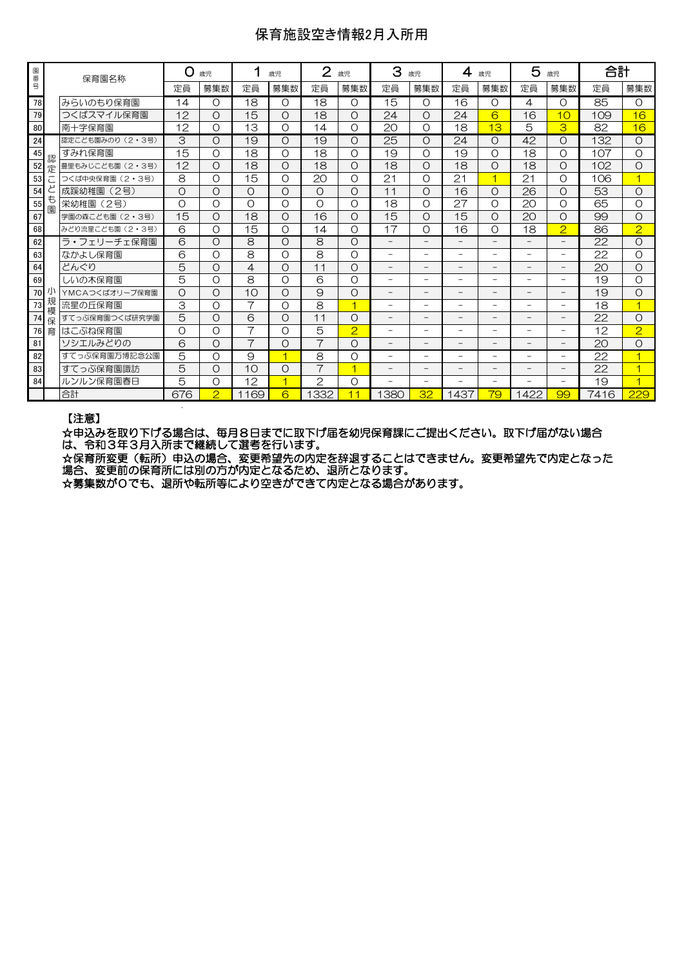### 保育施設空き情報2月入所用

| 園  |        |                  | റ<br>歳児<br>歳児<br>保育園名称 |                | $\overline{2}$ | 3<br>歳児<br>歳児            |                |                | $\overline{4}$<br>歳児     |                          | 5<br>歳児                  |                          | 合計                       |                          |      |                |
|----|--------|------------------|------------------------|----------------|----------------|--------------------------|----------------|----------------|--------------------------|--------------------------|--------------------------|--------------------------|--------------------------|--------------------------|------|----------------|
| 番号 |        |                  | 定員                     | 募集数            | 定員             | 募集数                      | 定員             | 募集数            | 定員                       | 募集数                      | 定員                       | 募集数                      | 定員                       | 募集数                      | 定員   | 募集数            |
| 78 |        | みらいのもり保育園        | 14                     | O              | 18             | $\Omega$                 | 18             | O              | 15                       | $\Omega$                 | 16                       | O                        | 4                        | $\circ$                  | 85   | $\Omega$       |
| 79 |        | つくばスマイル保育園       | 12                     | $\Omega$       | 15             | $\Omega$                 | 18             | Ω              | 24                       | $\Omega$                 | 24                       | 6                        | 16                       | 10                       | 109  | 16             |
| 80 |        | 南十字保育園           | 12                     | O              | 13             | $\Omega$                 | 14             | $\Omega$       | 20                       | $\Omega$                 | 18                       | 13                       | 5                        | 3                        | 82   | 16             |
| 24 |        | 認定こども園みのり (2・3号) | 3                      | $\circ$        | 19             | $\Omega$                 | 19             | Ω              | 25                       | $\Omega$                 | 24                       | $\Omega$                 | 42                       | $\circ$                  | 132  | $\Omega$       |
| 45 | 認      | すみれ保育園           | 15                     | O              | 18             | O                        | 18             | $\Omega$       | 19                       | $\Omega$                 | 19                       | O                        | 18                       | O                        | 107  | $\Omega$       |
| 52 | 定      | 豊里もみじこども園 (2・3号) | 12                     | O              | 18             | O                        | 18             | Ο              | 18                       | $\Omega$                 | 18                       | O                        | 18                       | $\circ$                  | 102  | O              |
| 53 |        | つくば中央保育園 (2・3号)  | 8                      | O              | 15             | O                        | 20             | $\Omega$       | 21                       | $\Omega$                 | 21                       | 4                        | 21                       | $\Omega$                 | 106  |                |
| 54 |        | 成蹊幼稚園<br>(2号)    | $\circ$                | $\overline{O}$ | $\circ$        | $\Omega$                 | $\Omega$       | $\Omega$       | 11                       | $\Omega$                 | 16                       | $\Omega$                 | $\overline{26}$          | $\circ$                  | 53   | $\Omega$       |
| 55 | も<br>闌 | (2号)<br>栄幼稚園     | $\Omega$               | O              | O              | O                        | $\Omega$       | $\Omega$       | 18                       | $\Omega$                 | 27                       | $\Omega$                 | 20                       | O                        | 65   | $\Omega$       |
| 67 |        | 学園の森こども園 (2·3号)  | $\overline{15}$        | $\overline{O}$ | 18             | O                        | 16             | Ο              | 15                       | $\Omega$                 | 15                       | O                        | 20                       | $\circ$                  | 99   | $\Omega$       |
| 68 |        | みどり流星こども園 (2・3号) | 6                      | $\Omega$       | 15             | $\Omega$                 | 14             | $\Omega$       | 17                       | $\Omega$                 | 16                       | $\Omega$                 | 18                       | $\overline{2}$           | 86   | $\overline{2}$ |
| 62 |        | ラ・フェリーチェ保育園      | 6                      | $\Omega$       | 8              | $\Omega$                 | 8              | $\Omega$       | $\overline{\phantom{0}}$ | $\qquad \qquad -$        | $\overline{\phantom{0}}$ | $\overline{\phantom{0}}$ | $\overline{\phantom{0}}$ | $\overline{\phantom{0}}$ | 22   | $\Omega$       |
| 63 |        | なかよし保育園          | 6                      | O              | 8              | O                        | 8              | Ο              | $\overline{\phantom{0}}$ | -                        | $\overline{\phantom{a}}$ | -                        | $\overline{\phantom{0}}$ | $\overline{\phantom{0}}$ | 22   | O              |
| 64 |        | どんぐり             | 5                      | $\circ$        | $\overline{4}$ | O                        | 11             | Ο              | $\overline{\phantom{0}}$ | $\overline{\phantom{0}}$ | $\overline{\phantom{0}}$ |                          |                          |                          | 20   | $\Omega$       |
| 69 |        | しいの木保育園          | 5                      | O              | 8              | O                        | 6              | $\circ$        | -                        | $\overline{\phantom{0}}$ |                          | -                        |                          | Ξ.                       | 19   | O              |
| 70 |        | YMCAつくばオリーブ保育園   | $\circ$                | $\circ$        | 10             | $\Omega$                 | $\Theta$       | $\circ$        | $\overline{\phantom{0}}$ | $\overline{\phantom{0}}$ |                          | -                        |                          | $\overline{\phantom{0}}$ | 19   | $\Omega$       |
| 73 | 規<br>模 | 流星の斤保育園          | 3                      | O              | 7              | $\Omega$                 | 8              | 1              | -                        | $\overline{\phantom{0}}$ | $\overline{\phantom{0}}$ | $\overline{\phantom{0}}$ | $\overline{\phantom{0}}$ | $\overline{\phantom{0}}$ | 18   | 1              |
| 74 | 保      | すてっぷ保育園つくば研究学園   | 5                      | $\circ$        | 6              | O                        | 11             | Ο              |                          | $\overline{\phantom{0}}$ |                          |                          |                          | -                        | 22   | $\Omega$       |
| 76 | 育      | はこぶね保育園          | $\circ$                | O              | $\overline{7}$ | $\Omega$                 | 5              | $\overline{2}$ | $\overline{\phantom{0}}$ | $\overline{\phantom{0}}$ |                          |                          |                          | Ξ.                       | 12   | $\overline{2}$ |
| 81 |        | ソシエルみどりの         | 6                      | $\circ$        | $\overline{7}$ | O                        | $\overline{7}$ | $\Omega$       | $\overline{\phantom{0}}$ | $\qquad \qquad -$        | $\overline{\phantom{a}}$ | $-$                      | $\overline{\phantom{0}}$ | $-$                      | 20   | $\Omega$       |
| 82 |        | すてっぷ保育園万博記念公園    | 5                      | O              | 9              | $\overline{\mathcal{A}}$ | 8              | $\circ$        | $\overline{\phantom{0}}$ | $\overline{\phantom{0}}$ | -                        | $=$                      | $=$                      | $\overline{\phantom{0}}$ | 22   |                |
| 83 |        | すてっぷ保育園諏訪        | 5                      | $\overline{O}$ | 10             | O                        | $\overline{7}$ | 4              | -                        | -                        |                          |                          |                          | $\qquad \qquad -$        | 22   |                |
| 84 |        | ルンルン保育園春日        | 5                      | O              | 12             | $\overline{\mathcal{A}}$ | $\overline{2}$ | O              | $\overline{\phantom{0}}$ | $\overline{\phantom{0}}$ | $\equiv$                 | $\overline{\phantom{0}}$ | $\overline{\phantom{0}}$ | $\overline{\phantom{0}}$ | 19   | 4              |
|    |        | 合計               | 676                    | $\overline{2}$ | 1169           | 6                        | 1332           | 11             | 380                      | 32                       | 1437                     | 79                       | 1422                     | 99                       | 7416 | 229            |
|    |        |                  |                        |                |                |                          |                |                |                          |                          |                          |                          |                          |                          |      |                |

#### 【注意】

☆申込みを取り下げる場合は、毎月8日までに取下げ届を幼児保育課にご提出ください。取下げ届がない場合 は、令和3年3月入所まで継続して選考を行います。

☆保育所変更(転所)申込の場合、変更希望先の内定を辞退することはできません。変更希望先で内定となった 場合、変更前の保育所には別の方が内定となるため、退所となります。

☆募集数が0でも、退所や転所等により空きができて内定となる場合があります。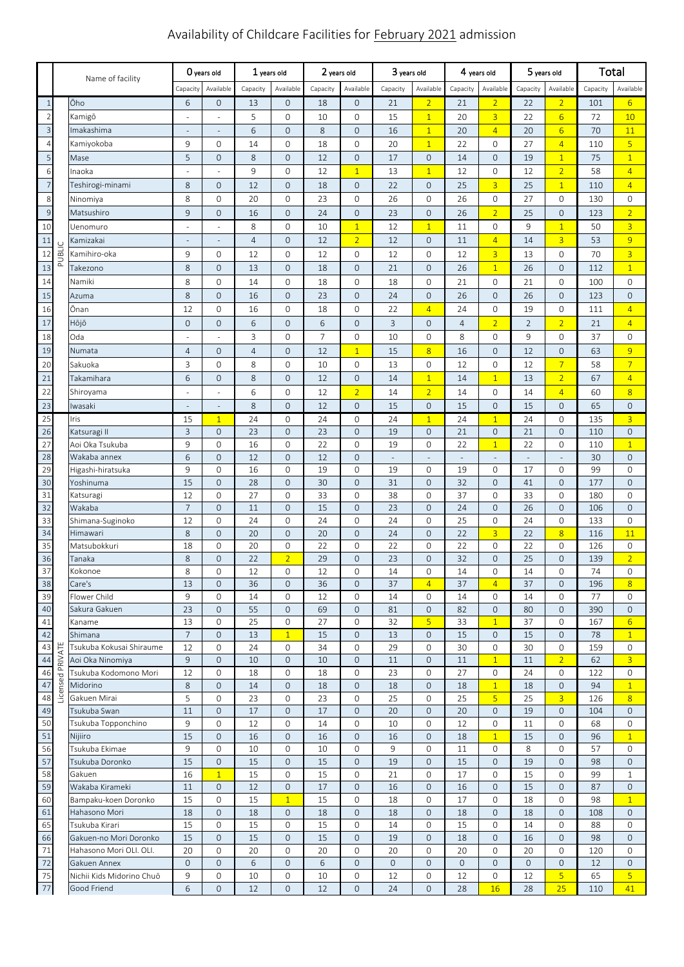# Availability of Childcare Facilities for February 2021 admission

|                         | Name of facility |                                          | O years old              |                               | $1$ years old  |                                | 2 years old    |                              | 3 years old              |                                       | 4 years old              |                             | 5 years old    |                  | Total      |                                    |
|-------------------------|------------------|------------------------------------------|--------------------------|-------------------------------|----------------|--------------------------------|----------------|------------------------------|--------------------------|---------------------------------------|--------------------------|-----------------------------|----------------|------------------|------------|------------------------------------|
|                         |                  |                                          | Capacity                 | Available                     | Capacity       | Available                      | Capacity       | Available                    | Capacity                 | Available                             | Capacity                 | Available                   | Capacity       | Available        | Capacity   | Available                          |
| $\overline{1}$          |                  | Ōho                                      | 6                        | $\mathbf{O}$                  | 13             | $\overline{0}$                 | 18             | $\mathbf 0$                  | 21                       | $\overline{2}$                        | 21                       | $\overline{2}$              | 22             | $\overline{2}$   | 101        | $6 \overline{6}$                   |
| $\overline{2}$          |                  | Kamigō                                   |                          |                               | 5              | $\mathbf{O}$                   | 10             | $\mathbf 0$                  | 15                       | $\overline{1}$                        | 20                       | $\overline{3}$              | 22             | $6 \overline{6}$ | 72         | 10                                 |
| $\overline{\mathbf{3}}$ |                  | Imakashima                               | $\overline{\phantom{a}}$ | $\sim$                        | 6              | $\overline{O}$                 | 8              | $\mathbf{0}$                 | 16                       | $\overline{1}$                        | 20                       | $\overline{4}$              | 20             | $6 \overline{6}$ | 70         | 11                                 |
| $\overline{4}$          |                  | Kamiyokoba                               | 9                        | $\mathbf 0$                   | 14             | $\circ$                        | 18             | $\mathbf{0}$                 | 20                       | $\overline{1}$                        | 22                       | $\mathsf{O}\xspace$         | 27             | $\overline{4}$   | 110        | $\overline{5}$                     |
| 5                       |                  | Mase                                     | 5                        | $\overline{0}$                | 8              | $\overline{0}$                 | 12             | $\mathbf{0}$                 | 17                       | $\mathsf{O}\xspace$                   | 14                       | $\mathsf{O}\xspace$         | 19             | $\overline{1}$   | 75         | $\overline{1}$                     |
| 6                       |                  | Inaoka                                   |                          |                               | 9              | $\circ$                        | 12             | $\overline{1}$               | 13                       | $\overline{1}$                        | 12                       | $\mathsf{O}\xspace$         | 12             | $\overline{2}$   | 58         | $\overline{4}$                     |
| $\overline{7}$          |                  | Teshirogi-minami                         | 8                        | $\overline{0}$                | 12             | $\overline{0}$                 | 18             | $\mathbf{0}$                 | 22                       | $\mathsf{O}\xspace$                   | 25                       | $\overline{3}$              | 25             | $\overline{1}$   | 110        | $\overline{4}$                     |
| 8                       |                  | Ninomiya                                 | 8                        | $\overline{0}$                | 20             | $\circ$                        | 23             | $\mathbf{0}$                 | 26                       | 0                                     | 26                       | $\mathsf{O}\xspace$         | 27             | $\mathbf{O}$     | 130        | $\mathbf{O}$                       |
| $\overline{9}$          |                  | Matsushiro                               | 9                        | $\overline{0}$                | 16             | $\overline{0}$                 | 24             | $\mathbf{0}$                 | 23                       | $\mathsf{O}\xspace$                   | 26                       | $\overline{2}$              | 25             | $\mathbf 0$      | 123        | $\overline{2}$                     |
| 10                      |                  | Uenomuro                                 | ٠                        | ÷,                            | 8              | $\circ$                        | 10             | $\mathbf{1}$                 | 12                       | $\overline{1}$                        | 11                       | $\mathsf{O}\xspace$         | 9              | $\mathbf{1}$     | 50         | $\overline{3}$                     |
| 11                      |                  | Kamizakai                                | $\overline{\phantom{a}}$ | $\overline{\phantom{m}}$      | $\overline{4}$ | $\overline{0}$                 | 12             | $\overline{2}$               | 12                       | $\mathsf{O}\xspace$                   | 11                       | $\overline{4}$              | 14             | $\overline{3}$   | 53         | $\overline{9}$                     |
| 12                      | PUBLIC           | Kamihiro-oka                             | 9                        | $\mathbf{0}$                  | 12             | $\circ$                        | 12             | $\mathbf{0}$                 | 12                       | 0                                     | 12                       | $\overline{3}$              | 13             | $\mathbf{O}$     | 70         | $\overline{3}$                     |
| 13                      |                  | Takezono                                 | 8                        | $\overline{0}$                | 13             | $\overline{0}$                 | 18             | $\mathbf{0}$                 | 21                       | $\mathsf{O}\xspace$                   | 26                       | $\overline{1}$              | 26             | $\mathbf{O}$     | 112        | $\overline{1}$                     |
| 14                      |                  | Namiki                                   | 8                        | $\overline{0}$                | 14             | $\circ$                        | 18             | $\mathbf{0}$                 | 18                       | 0                                     | 21                       | $\mathsf{O}\xspace$         | 21             | $\mathbf{O}$     | 100        | $\mathbf{O}$                       |
| 15                      |                  | Azuma                                    | 8                        | $\overline{0}$                | 16             | $\overline{0}$                 | 23             | $\mathbf{0}$                 | 24                       | $\mathsf{O}\xspace$                   | 26                       | $\mathbf 0$                 | 26             | $\mathbf{O}$     | 123        | $\mathbf{O}$                       |
| 16                      |                  | Ōnan                                     | 12                       | $\overline{0}$                | 16             | $\circ$                        | 18             | $\mathbf{0}$                 | 22                       | $\overline{4}$                        | 24                       | $\mathsf{O}\xspace$         | 19             | 0                | 111        | $\overline{4}$                     |
| 17                      |                  | Hōjō                                     | 0                        | $\overline{0}$                | 6              | $\overline{0}$                 | 6              | $\mathbf{0}$                 | 3                        | $\mathsf{O}\xspace$                   | $\overline{4}$           | $\overline{2}$              | $\overline{2}$ | $\overline{2}$   | 21         | $\overline{4}$                     |
| 18                      |                  | Oda                                      |                          |                               | 3              | $\circ$                        | $\overline{7}$ | $\mathbf{0}$                 | 10                       | 0                                     | 8                        | $\mathsf{O}\xspace$         | 9              | 0                | 37         | $\mathsf{O}$                       |
| 19                      |                  | Numata                                   | $\overline{4}$           | $\mathsf{O}\xspace$           | $\overline{4}$ | 0                              | 12             | $\overline{1}$               | 15                       | $\overline{8}$                        | 16                       | $\mathsf{O}\xspace$         | 12             | $\mathbf 0$      | 63         | 9                                  |
| 20                      |                  | Sakuoka                                  | 3                        | $\mathsf{O}\xspace$           | 8              | 0                              | 10             | $\mathbf{0}$                 | 13                       | 0                                     | 12                       | $\mathsf{O}\xspace$         | 12             | $\overline{7}$   | 58         | $\overline{7}$                     |
| $\overline{21}$         |                  | Takamihara                               | 6                        | $\mathsf{O}\xspace$           | 8              | 0                              | 12             | $\mathbf{0}$                 | 14                       | $\overline{1}$                        | 14                       | $\overline{1}$              | 13             | $\overline{2}$   | 67         | $\overline{4}$                     |
| 22                      |                  | Shiroyama                                | ÷,                       | ÷,                            | 6              | 0                              | 12             | $\overline{2}$               | 14                       | $\overline{2}$                        | 14                       | $\mathsf{O}\xspace$         | 14             | $\overline{4}$   | 60         | $\overline{8}$                     |
| 2 <sub>3</sub>          |                  | Iwasaki                                  |                          | $\overline{\phantom{m}}$      | 8              | $\overline{0}$                 | 12             | $\mathbf{0}$                 | 15                       | $\mathsf{O}\xspace$                   | 15                       | $\mathsf{O}\xspace$         | 15             | $\mathbf 0$      | 65         | $\mathbf{O}$                       |
| 25                      |                  | Iris                                     | 15                       | $\overline{1}$                | 24             | 0                              | 24             | $\mathbf{0}$                 | 24                       | $\overline{1}$                        | 24                       | $\overline{1}$              | 24             | 0                | 135        | $\overline{3}$                     |
| 26                      |                  | Katsuragi II                             | 3                        | $\overline{0}$                | 23             | $\overline{O}$                 | 23             | $\mathbf{0}$                 | 19                       | $\mathsf{O}\xspace$                   | 21                       | $\mathsf{O}\xspace$         | 21             | $\mathbf{O}$     | 110        | $\mathbf{O}$                       |
| 27                      |                  | Aoi Oka Tsukuba                          | 9                        | $\mathbf 0$                   | 16             | 0                              | 22             | $\mathbf 0$                  | 19                       | 0                                     | 22                       | $\overline{1}$              | 22             | 0                | 110        | $\overline{1}$                     |
| 28                      |                  | Wakaba annex                             | 6<br>9                   | $\mathsf{O}\xspace$           | 12<br>16       | $\overline{O}$<br>$\mathsf{O}$ | 12             | $\mathbf{0}$                 | $\overline{\phantom{a}}$ | $\overline{\phantom{a}}$              | $\overline{\phantom{a}}$ | $\overline{\phantom{a}}$    | $\blacksquare$ | $\blacksquare$   | 30         | $\mathbf{O}$                       |
| 29<br>30                |                  | Higashi-hiratsuka<br>Yoshinuma           | 15                       | $\mathbf 0$<br>$\mathbf 0$    | 28             | $\mathbf 0$                    | 19<br>30       | $\mathbf{0}$<br>$\mathbf{0}$ | 19<br>31                 | 0<br>$\mathsf{O}\xspace$              | 19<br>32                 | 0<br>$\mathsf{O}\xspace$    | 17<br>41       | 0<br>$\mathbf 0$ | 99<br>177  | $\mathbf 0$<br>$\mathsf{O}\xspace$ |
| 31                      |                  | Katsuragi                                | 12                       | $\mathsf{O}\xspace$           | 27             | 0                              | 33             | $\mathbf{0}$                 | 38                       | 0                                     | 37                       | $\mathsf{O}\xspace$         | 33             | 0                | 180        | $\mathbf{O}$                       |
| 32                      |                  | Wakaba                                   | $\overline{7}$           | $\mathsf{O}\xspace$           | 11             | $\mathbf{O}$                   | 15             | $\mathbf{0}$                 | 23                       | $\mathbf 0$                           | 24                       | $\mathbf 0$                 | 26             | $\mathbf 0$      | 106        | $\mathbf 0$                        |
| 33                      |                  | Shimana-Suginoko                         | 12                       | $\mathbf 0$                   | 24             | $\mathsf{O}$                   | 24             | $\mathsf O$                  | 24                       | $\mathsf{O}\xspace$                   | 25                       | $\mathsf{O}\xspace$         | 24             | 0                | 133        | $\mathbf{O}$                       |
| 34                      |                  | Himawari                                 | 8                        | $\overline{0}$                | 20             | $\overline{0}$                 | 20             | $\mathbf{0}$                 | 24                       | $\mathsf{O}\xspace$                   | 22                       | $\overline{3}$              | 22             | 8 <sup>2</sup>   | 116        | 11                                 |
| 35                      |                  | Matsubokkuri                             | 18                       | $\mathbf 0$                   | 20             | 0                              | 22             | 0                            | 22                       | 0                                     | 22                       | 0                           | 22             | 0                | 126        | 0                                  |
| 36                      |                  | Tanaka                                   | $\,8\,$                  | $\mathsf{O}\xspace$           | 22             | $\overline{2}$                 | 29             | $\mathsf O$                  | 23                       | $\mathsf{O}\xspace$                   | 32                       | $\mathbf 0$                 | 25             | $\mathbf{O}$     | 139        | $\overline{2}$                     |
| 37                      |                  | Kokonoe                                  | 8                        | $\overline{0}$                | 12             | 0                              | 12             | $\mathbf{O}$                 | 14                       | $\mathbf 0$                           | 14                       | $\overline{0}$              | 14             | 0                | 74         | $\mathbf{O}$                       |
| 38                      |                  | Care's                                   | 13                       | 0                             | 36             | 0                              | 36             | 0                            | 37                       | $\overline{4}$                        | 37                       | $\overline{4}$              | 37             | 0                | 196        | $8\phantom{1}$                     |
| 39                      |                  | Flower Child                             | 9                        | $\mathsf{O}\xspace$           | 14             | 0                              | 12             | 0                            | 14                       | 0                                     | 14                       | 0                           | 14             | 0                | 77         | 0                                  |
| 40<br>41                |                  | Sakura Gakuen<br>Kaname                  | 23<br>13                 | $\overline{0}$<br>$\mathbf 0$ | 55<br>25       | $\mathsf{O}$<br>0              | 69<br>27       | $\mathbf 0$<br>0             | 81<br>32                 | $\mathsf{O}\xspace$<br>$\overline{5}$ | 82<br>33                 | $\mathbf 0$<br>$\mathbf{1}$ | 80<br>37       | $\mathbf 0$<br>0 | 390<br>167 | $\overline{0}$<br>$6 \overline{6}$ |
| 42                      |                  | Shimana                                  | $\overline{7}$           | $\overline{0}$                | 13             | $\mathbf{1}$                   | 15             | $\mathbf{0}$                 | 13                       | $\mathsf{O}\xspace$                   | 15                       | $\mathbf 0$                 | 15             | $\mathbf 0$      | 78         | $\mathbf{1}$                       |
| 43                      |                  | Tsukuba Kokusai Shiraume                 | 12                       | $\mathbf 0$                   | 24             | 0                              | 34             | $\mathbf 0$                  | 29                       | 0                                     | 30                       | 0                           | 30             | 0                | 159        | 0                                  |
| 44                      | PRIVATE          | Aoi Oka Ninomiya                         | $\overline{9}$           | $\overline{0}$                | 10             | $\mathbf 0$                    | 10             | $\mathbf 0$                  | 11                       | $\mathbf 0$                           | 11                       | $\overline{1}$              | 11             | $\overline{2}$   | 62         | $\overline{3}$                     |
| 46                      |                  | Tsukuba Kodomono Mori                    | 12                       | $\mathbf 0$                   | 18             | $\circ$                        | 18             | $\mathbf{0}$                 | 23                       | $\mathbf{0}$                          | 27                       | 0                           | 24             | 0                | 122        | 0                                  |
| 47                      | Licensed         | Midorino                                 | 8                        | $\mathsf{O}\xspace$           | 14             | 0                              | 18             | $\mathbf 0$                  | 18                       | $\mathbf 0$                           | 18                       | $\mathbf{1}$                | 18             | 0                | 94         | $\mathbf{1}$                       |
| 48                      |                  | Gakuen Mirai                             | 5                        | 0                             | 23             | 0                              | 23             | 0                            | 25                       | 0                                     | 25                       | 5 <sub>o</sub>              | 25             | $\overline{3}$   | 126        | 8                                  |
| 49                      |                  | Tsukuba Swan                             | 11                       | $\mathbf{O}$                  | 17             | $\mathbf{O}$                   | 17             | $\mathbf{0}$                 | 20                       | $\mathbf 0$                           | 20                       | $\mathbf 0$                 | 19             | $\mathbf 0$      | 104        | $\mathbf{0}$                       |
| 50                      |                  | Tsukuba Topponchino                      | 9                        | 0                             | 12             | 0                              | 14             | 0                            | 10                       | 0                                     | 12                       | 0                           | 11             | 0                | 68         | 0                                  |
| 51                      |                  | Nijiiro                                  | 15                       | $\mathsf{O}\xspace$           | 16             | 0                              | 16             | $\mathbf 0$                  | 16                       | $\mathbf 0$                           | 18                       | $\overline{1}$              | 15             | 0                | 96         | $\mathbf{1}$                       |
| 56<br>57                |                  | Tsukuba Ekimae<br>Tsukuba Doronko        | 9<br>15                  | $\mathbf 0$<br>$\mathbf 0$    | 10<br>15       | 0<br>$\mathsf{O}$              | 10<br>15       | $\mathbf{0}$<br>$\mathbf 0$  | 9<br>19                  | 0<br>$\mathsf{O}\xspace$              | 11<br>15                 | 0<br>$\mathbf 0$            | 8<br>19        | 0<br>$\mathbf 0$ | 57<br>98   | $\mathbf 0$<br>$\mathbf 0$         |
| 58                      |                  | Gakuen                                   | 16                       | $\mathbf{1}$                  | 15             | 0                              | 15             | $\mathbf 0$                  | 21                       | 0                                     | 17                       | 0                           | 15             | 0                | 99         | $\mathbf{1}$                       |
| 59                      |                  | Wakaba Kirameki                          | 11                       | $\overline{0}$                | 12             | 0                              | 17             | $\mathbf 0$                  | 16                       | $\mathbf 0$                           | 16                       | $\mathbf 0$                 | 15             | 0                | 87         | $\mathbf 0$                        |
| 60                      |                  | Bampaku-koen Doronko                     | 15                       | $\mathbf 0$                   | 15             | $\mathbf{1}$                   | 15             | 0                            | 18                       | 0                                     | 17                       | $\mathsf{O}\xspace$         | 18             | 0                | 98         | $\mathbf{1}$                       |
| 61                      |                  | Hahasono Mori                            | 18                       | $\overline{0}$                | 18             | $\mathbf{O}$                   | 18             | $\mathbf{0}$                 | 18                       | $\mathbf{0}$                          | 18                       | $\mathbf{0}$                | 18             | $\mathbf{0}$     | 108        | $\overline{0}$                     |
| 65                      |                  | Tsukuba Kirari                           | 15                       | $\mathbf 0$                   | 15             | $\mathbf 0$                    | 15             | 0                            | 14                       | 0                                     | 15                       | 0                           | 14             | 0                | 88         | $\mathbf 0$                        |
| 66                      |                  | Gakuen-no Mori Doronko                   | 15                       | $\mathsf{O}\xspace$           | 15             | $\mathbf 0$                    | 15             | $\mathbf{0}$                 | 19                       | $\mathsf{O}\xspace$                   | 18                       | $\mathbf 0$                 | 16             | 0                | 98         | $\mathsf{O}\xspace$                |
| 71                      |                  | Hahasono Mori OLI. OLI.                  | 20                       | $\mathbf 0$                   | 20             | $\mathbf{0}$                   | 20             | $\mathbf 0$                  | 20                       | 0                                     | 20                       | 0                           | 20             | 0                | 120        | $\mathbf 0$                        |
| 72                      |                  | Gakuen Annex                             | $\mathbf 0$              | 0                             | 6              | 0                              | 6              | $\mathbf 0$                  | $\mathbf 0$              | $\mathbf 0$                           | 0                        | 0                           | $\mathbf 0$    | 0                | 12         | $\mathbf 0$                        |
| 75<br>77                |                  | Nichii Kids Midorino Chuō<br>Good Friend | 9<br>6                   | 0<br>$\mathbf{O}$             | 10<br>12       | 0<br>$\mathsf{O}$              | 10<br>12       | 0<br>$\mathbf{0}$            | 12<br>24                 | 0<br>$\mathsf{O}\xspace$              | 12<br>28                 | 0<br>16                     | 12<br>28       | 5<br>25          | 65<br>110  | 5 <sup>1</sup><br>41               |
|                         |                  |                                          |                          |                               |                |                                |                |                              |                          |                                       |                          |                             |                |                  |            |                                    |